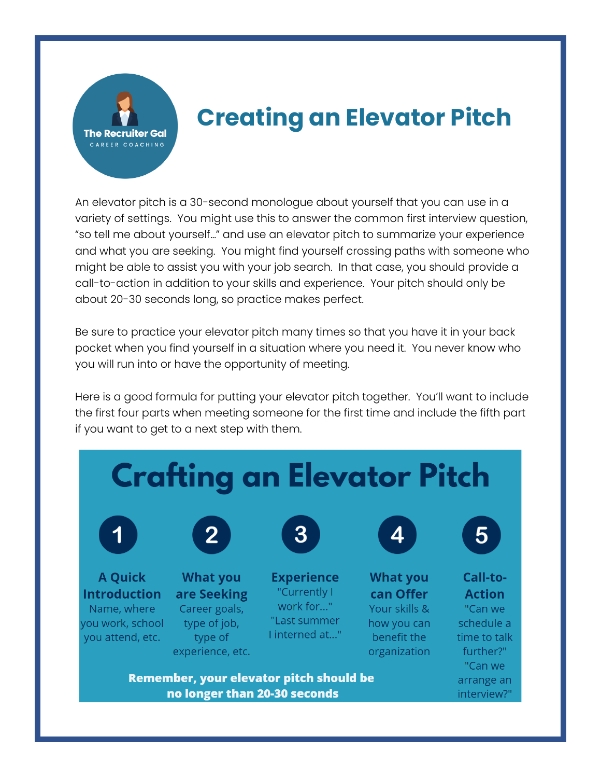

## **Creating an Elevator Pitch**

An elevator pitch is a 30-second monologue about yourself that you can use in a variety of settings. You might use this to answer the common first interview question, "so tell me about yourself…" and use an elevator pitch to summarize your experience and what you are seeking. You might find yourself crossing paths with someone who might be able to assist you with your job search. In that case, you should provide a call-to-action in addition to your skills and experience. Your pitch should only be about 20-30 seconds long, so practice makes perfect.

Be sure to practice your elevator pitch many times so that you have it in your back pocket when you find yourself in a situation where you need it. You never know who you will run into or have the opportunity of meeting.

Here is a good formula for putting your elevator pitch together. You'll want to include the first four parts when meeting someone for the first time and include the fifth part if you want to get to a next step with them.